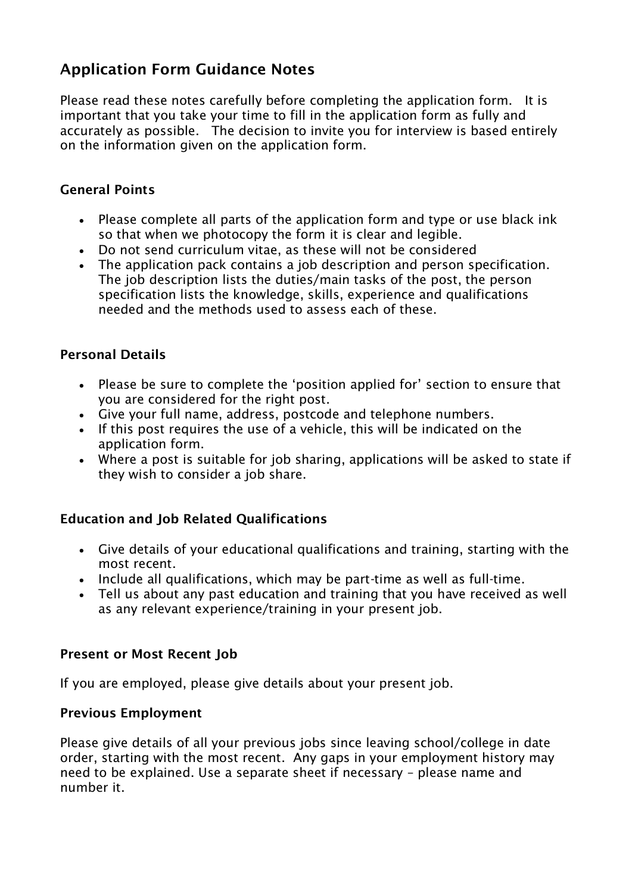# Application Form Guidance Notes

Please read these notes carefully before completing the application form. It is important that you take your time to fill in the application form as fully and accurately as possible. The decision to invite you for interview is based entirely on the information given on the application form.

# General Points

- Please complete all parts of the application form and type or use black ink so that when we photocopy the form it is clear and legible.
- Do not send curriculum vitae, as these will not be considered
- The application pack contains a job description and person specification. The job description lists the duties/main tasks of the post, the person specification lists the knowledge, skills, experience and qualifications needed and the methods used to assess each of these.

## Personal Details

- Please be sure to complete the 'position applied for' section to ensure that you are considered for the right post.
- Give your full name, address, postcode and telephone numbers.
- If this post requires the use of a vehicle, this will be indicated on the application form.
- Where a post is suitable for job sharing, applications will be asked to state if they wish to consider a job share.

# Education and Job Related Qualifications

- Give details of your educational qualifications and training, starting with the most recent.
- Include all qualifications, which may be part-time as well as full-time.
- Tell us about any past education and training that you have received as well as any relevant experience/training in your present job.

#### Present or Most Recent Job

If you are employed, please give details about your present job.

#### Previous Employment

Please give details of all your previous jobs since leaving school/college in date order, starting with the most recent. Any gaps in your employment history may need to be explained. Use a separate sheet if necessary – please name and number it.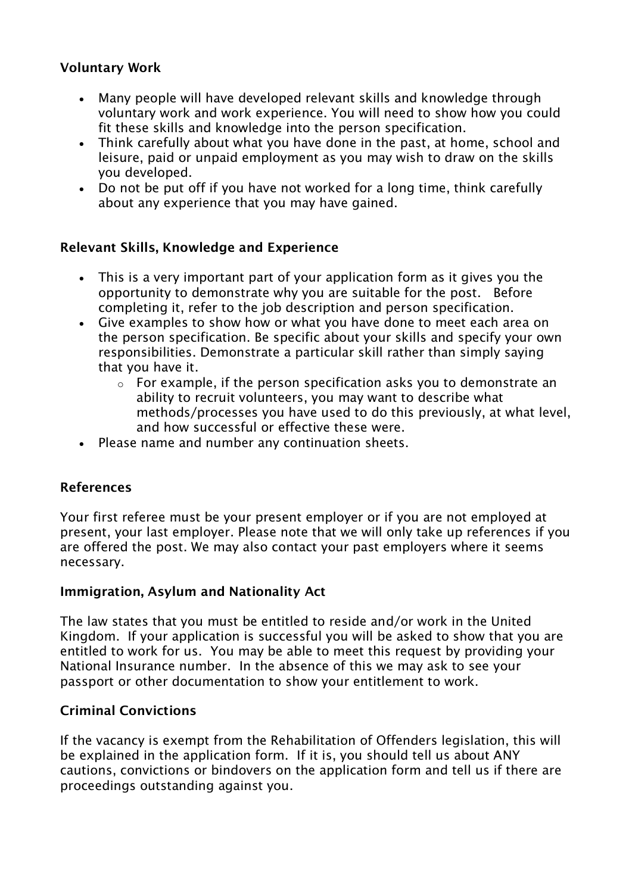# Voluntary Work

- Many people will have developed relevant skills and knowledge through voluntary work and work experience. You will need to show how you could fit these skills and knowledge into the person specification.
- Think carefully about what you have done in the past, at home, school and leisure, paid or unpaid employment as you may wish to draw on the skills you developed.
- Do not be put off if you have not worked for a long time, think carefully about any experience that you may have gained.

## Relevant Skills, Knowledge and Experience

- This is a very important part of your application form as it gives you the opportunity to demonstrate why you are suitable for the post. Before completing it, refer to the job description and person specification.
- Give examples to show how or what you have done to meet each area on the person specification. Be specific about your skills and specify your own responsibilities. Demonstrate a particular skill rather than simply saying that you have it.
	- o For example, if the person specification asks you to demonstrate an ability to recruit volunteers, you may want to describe what methods/processes you have used to do this previously, at what level, and how successful or effective these were.
- Please name and number any continuation sheets.

# References

Your first referee must be your present employer or if you are not employed at present, your last employer. Please note that we will only take up references if you are offered the post. We may also contact your past employers where it seems necessary.

#### Immigration, Asylum and Nationality Act

The law states that you must be entitled to reside and/or work in the United Kingdom. If your application is successful you will be asked to show that you are entitled to work for us. You may be able to meet this request by providing your National Insurance number. In the absence of this we may ask to see your passport or other documentation to show your entitlement to work.

#### Criminal Convictions

If the vacancy is exempt from the Rehabilitation of Offenders legislation, this will be explained in the application form. If it is, you should tell us about ANY cautions, convictions or bindovers on the application form and tell us if there are proceedings outstanding against you.